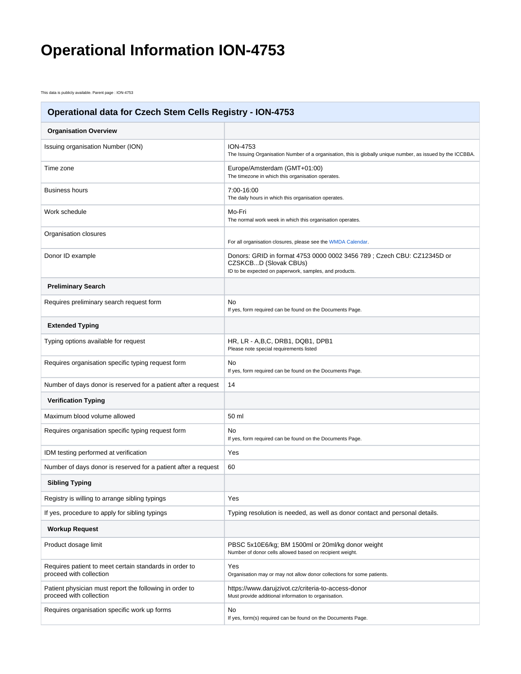## **Operational Information ION-4753**

This data is publicly available. Parent page : ION-4753

| <b>Operational data for Czech Stem Cells Registry - ION-4753</b>                   |                                                                                                                                                           |
|------------------------------------------------------------------------------------|-----------------------------------------------------------------------------------------------------------------------------------------------------------|
| <b>Organisation Overview</b>                                                       |                                                                                                                                                           |
| Issuing organisation Number (ION)                                                  | <b>ION-4753</b><br>The Issuing Organisation Number of a organisation, this is globally unique number, as issued by the ICCBBA.                            |
| Time zone                                                                          | Europe/Amsterdam (GMT+01:00)<br>The timezone in which this organisation operates.                                                                         |
| <b>Business hours</b>                                                              | 7:00-16:00<br>The daily hours in which this organisation operates.                                                                                        |
| Work schedule                                                                      | Mo-Fri<br>The normal work week in which this organisation operates.                                                                                       |
| Organisation closures                                                              | For all organisation closures, please see the WMDA Calendar.                                                                                              |
| Donor ID example                                                                   | Donors: GRID in format 4753 0000 0002 3456 789; Czech CBU: CZ12345D or<br>CZSKCBD (Slovak CBUs)<br>ID to be expected on paperwork, samples, and products. |
| <b>Preliminary Search</b>                                                          |                                                                                                                                                           |
| Requires preliminary search request form                                           | No<br>If yes, form required can be found on the Documents Page.                                                                                           |
| <b>Extended Typing</b>                                                             |                                                                                                                                                           |
| Typing options available for request                                               | HR, LR - A, B, C, DRB1, DQB1, DPB1<br>Please note special requirements listed                                                                             |
| Requires organisation specific typing request form                                 | No<br>If yes, form required can be found on the Documents Page.                                                                                           |
| Number of days donor is reserved for a patient after a request                     | 14                                                                                                                                                        |
| <b>Verification Typing</b>                                                         |                                                                                                                                                           |
| Maximum blood volume allowed                                                       | 50 ml                                                                                                                                                     |
| Requires organisation specific typing request form                                 | No<br>If yes, form required can be found on the Documents Page.                                                                                           |
| IDM testing performed at verification                                              | Yes                                                                                                                                                       |
| Number of days donor is reserved for a patient after a request                     | 60                                                                                                                                                        |
| <b>Sibling Typing</b>                                                              |                                                                                                                                                           |
| Registry is willing to arrange sibling typings                                     | Yes                                                                                                                                                       |
| If yes, procedure to apply for sibling typings                                     | Typing resolution is needed, as well as donor contact and personal details.                                                                               |
| <b>Workup Request</b>                                                              |                                                                                                                                                           |
| Product dosage limit                                                               | PBSC 5x10E6/kg; BM 1500ml or 20ml/kg donor weight<br>Number of donor cells allowed based on recipient weight.                                             |
| Requires patient to meet certain standards in order to<br>proceed with collection  | Yes<br>Organisation may or may not allow donor collections for some patients.                                                                             |
| Patient physician must report the following in order to<br>proceed with collection | https://www.darujzivot.cz/criteria-to-access-donor<br>Must provide additional information to organisation.                                                |
| Requires organisation specific work up forms                                       | No<br>If yes, form(s) required can be found on the Documents Page.                                                                                        |